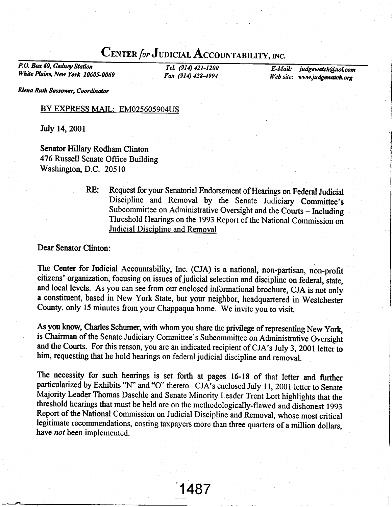## CENTER for JUDICIAL ACCOUNTABILITY, INC.

P.O. Box 69, Gedney Station White Plains, New York 10605-0069

TeL (914) 421-1200 Fax (914) 428-4994

E-Mail: Web site: www.judgewatch.or judgewatch@aol.com

Elena Ruth Sassower, Coordinator

## BY EXPRESS MAIL: EM025605904US

July 14,2001

Senator Hillary Rodham Clinton 476 Russell Senate Office Building Washington, D.C. 20510

> RE: Request for your Senatorial Endorsement of Hearings on Federal Judicial Discipline and Removal by the Senate Judiciary committee's Subcommittee on Administrative Oversight and the Courts - Including Threshold Hearings on the 1993 Report of the National Commission on Judicial Discipline and Removal

## Dear Senator Clinton:

The Center for Judicial Accountability, Inc. (CJA) is a national, non-partisan, non-profit citizens' organization, focusing on issues of judicial selection and discipline on federal, state, and local levels. As you can see from our enclosed informational brochure, CJA is not only a constituent, based in New York State, but your neighbor, headquartered in Westchester County, only 15 minutes from your chappaqua home. we invite you to visit.

As you know, Charles Schumer, with whom you share the privilege of representing New York, is Chairman of the Senate Judiciary Committee's Subcommittee on Administrative Oversight and the Courts. For this reason, you are an indicated recipient of CJA's July 3, 2001 letter to him, requesting that he hold hearings on federal judicial discipline and removal.

The necessity for such hearings is set forth at pages 16-18 of that letter and further particularized by Exhibits "N" and "O" thereto. CJA's enclosed July 11, 2001 letter to Senate Majority Leader Thomas Daschle and Senate Minority Leader Trent Lott highlights that the threshold hearings that must be held are on the methodologically-flawed and dishonest 1993 Report of the National Commission on Judicial Discipline and Removal, whose most critical legitimate recommendations, costing taxpayers more than three quarters of a million dollars, have *not* been implemented.

1487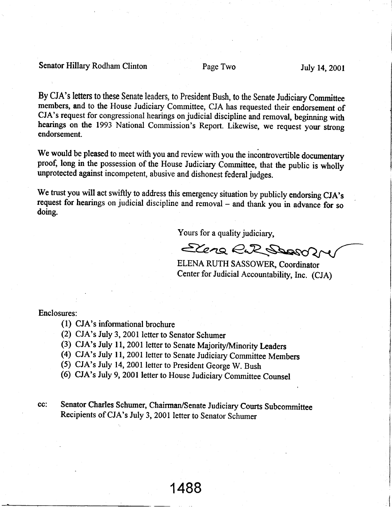Senator Hillary Rodham Clinton Page Two July 14, 2001

By CJA's letters to these Senate leaders, to President Bush, to the Senate Judiciary Committee members, and to the House Judiciary Commiffee, CJA has requested their endorsement of CJA's request for congressional hearings on judicial discipline and removal, beginning with hearings on the 1993 National Commission's Report. Likewise, we request your strong endorsement.

We would be pleased to meet with you and review with you the incontrovertible documentary proof, long in the possession of the House Judiciary Committee, that the public is wholly unprotected against incompetent, abusive and dishonest federal judges.

We trust you will act swiftly to address this emergency situation by publicly endorsing CJA's request for hearings on judicial discipline and removal - and thank you in advance for so doing.

Yours for a quality judiciary,

Elena E.R Shop

ELENA RUTH SASSOWER, Coordinator Center for Judicial Accountability, Inc. (CJA)

Enclosures:

- (l) CJA's informational brochure
- (2) CJA's July 3, 2001 letter to Senator Schumer
- (3) CJA's July 11, 2001 letter to Senate Majority/Minority Leaders
- (4) CJA's July 11, 2001 letter to Senate Judiciary Committee Members
- (5) CJA's July 14, 2001 letter to president George W. Bush
- (6) cJA's July 9, 2001 letter to House Judiciary committee counsel

cc: Senator Charles Schumer, Chairman/Senate Judiciary Courts Subcommittee Recipients of CJA's July 3, 2001 letter to Senator Schumer